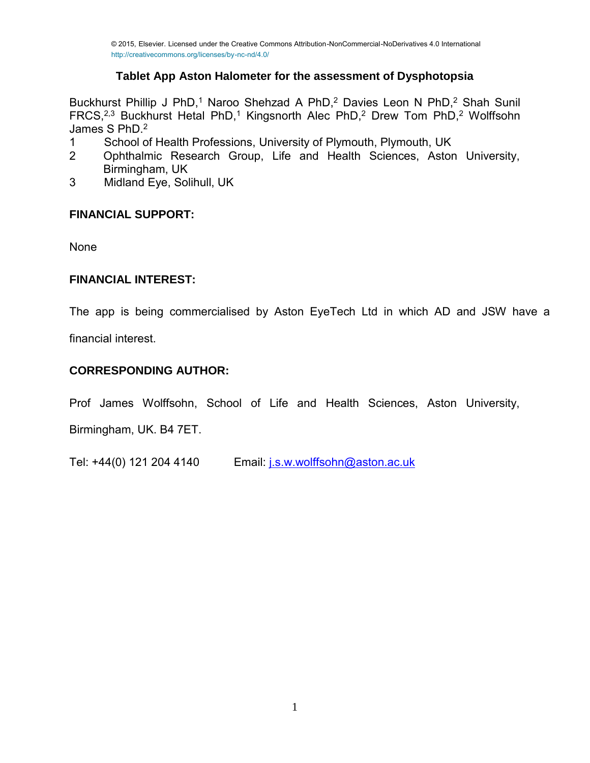# **Tablet App Aston Halometer for the assessment of Dysphotopsia**

Buckhurst Phillip J PhD,<sup>1</sup> Naroo Shehzad A PhD,<sup>2</sup> Davies Leon N PhD,<sup>2</sup> Shah Sunil FRCS,<sup>2,3</sup> Buckhurst Hetal PhD,<sup>1</sup> Kingsnorth Alec PhD,<sup>2</sup> Drew Tom PhD,<sup>2</sup> Wolffsohn James S PhD.<sup>2</sup><br>1 School of

- 1 School of Health Professions, University of Plymouth, Plymouth, UK<br>2 Ophthalmic Research Group Life and Health Sciences Astor
- 2 Ophthalmic Research Group, Life and Health Sciences, Aston University, Birmingham, UK
- 3 Midland Eye, Solihull, UK

# **FINANCIAL SUPPORT:**

None

# **FINANCIAL INTEREST:**

The app is being commercialised by Aston EyeTech Ltd in which AD and JSW have a

financial interest.

# **CORRESPONDING AUTHOR:**

Prof James Wolffsohn, School of Life and Health Sciences, Aston University,

Birmingham, UK. B4 7ET.

Tel: +44(0) 121 204 4140 Email: [j.s.w.wolffsohn@aston.ac.uk](mailto:j.s.w.wolffsohn@aston.ac.uk)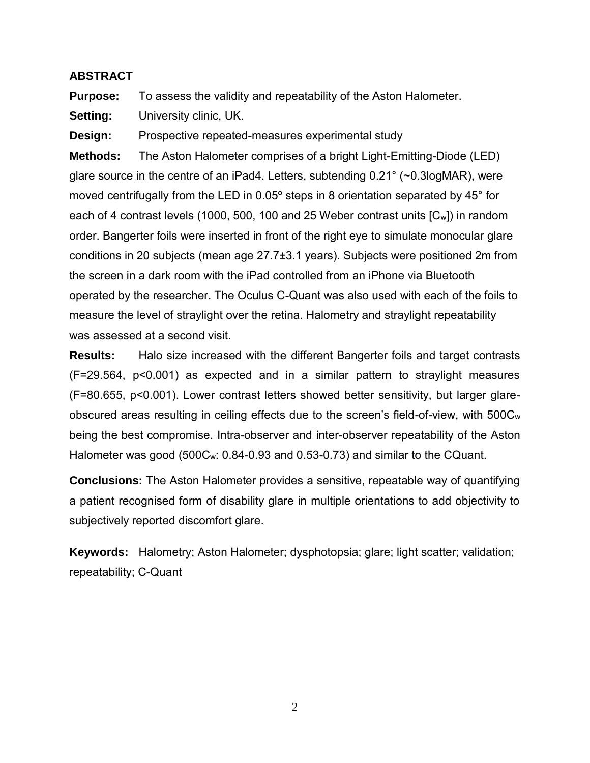### **ABSTRACT**

**Purpose:** To assess the validity and repeatability of the Aston Halometer.

**Setting:** University clinic, UK.

**Design:** Prospective repeated-measures experimental study

**Methods:** The Aston Halometer comprises of a bright Light-Emitting-Diode (LED) glare source in the centre of an iPad4. Letters, subtending 0.21° (~0.3logMAR), were moved centrifugally from the LED in 0.05º steps in 8 orientation separated by 45° for each of 4 contrast levels (1000, 500, 100 and 25 Weber contrast units [Cw]) in random order. Bangerter foils were inserted in front of the right eye to simulate monocular glare conditions in 20 subjects (mean age 27.7±3.1 years). Subjects were positioned 2m from the screen in a dark room with the iPad controlled from an iPhone via Bluetooth operated by the researcher. The Oculus C-Quant was also used with each of the foils to measure the level of straylight over the retina. Halometry and straylight repeatability was assessed at a second visit.

**Results:** Halo size increased with the different Bangerter foils and target contrasts (F=29.564, p<0.001) as expected and in a similar pattern to straylight measures (F=80.655, p<0.001). Lower contrast letters showed better sensitivity, but larger glareobscured areas resulting in ceiling effects due to the screen's field-of-view, with 500C<sup>w</sup> being the best compromise. Intra-observer and inter-observer repeatability of the Aston Halometer was good (500Cw: 0.84-0.93 and 0.53-0.73) and similar to the CQuant.

**Conclusions:** The Aston Halometer provides a sensitive, repeatable way of quantifying a patient recognised form of disability glare in multiple orientations to add objectivity to subjectively reported discomfort glare.

**Keywords:** Halometry; Aston Halometer; dysphotopsia; glare; light scatter; validation; repeatability; C-Quant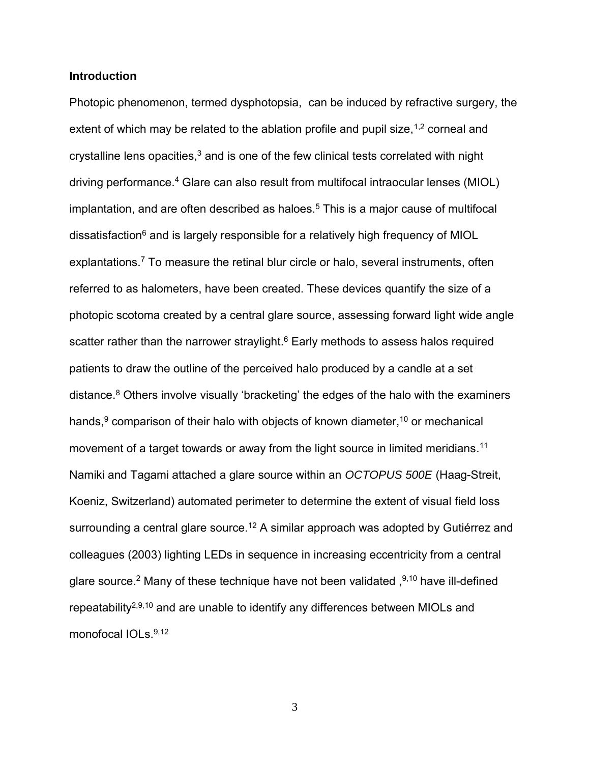#### **Introduction**

Photopic phenomenon, termed dysphotopsia, can be induced by refractive surgery, the extent of which may be related to the ablation profile and pupil size,  $1,2$  corneal and crystalline lens opacities, $3$  and is one of the few clinical tests correlated with night driving performance.<sup>4</sup> Glare can also result from multifocal intraocular lenses (MIOL) implantation, and are often described as haloes.<sup>5</sup> This is a major cause of multifocal dissatisfaction<sup>6</sup> and is largely responsible for a relatively high frequency of MIOL explantations.<sup>7</sup> To measure the retinal blur circle or halo, several instruments, often referred to as halometers, have been created. These devices quantify the size of a photopic scotoma created by a central glare source, assessing forward light wide angle scatter rather than the narrower straylight.<sup>6</sup> Early methods to assess halos required patients to draw the outline of the perceived halo produced by a candle at a set distance.<sup>8</sup> Others involve visually 'bracketing' the edges of the halo with the examiners hands,<sup>9</sup> comparison of their halo with objects of known diameter,<sup>10</sup> or mechanical movement of a target towards or away from the light source in limited meridians.<sup>11</sup> Namiki and Tagami attached a glare source within an *OCTOPUS 500E* (Haag-Streit, Koeniz, Switzerland) automated perimeter to determine the extent of visual field loss surrounding a central glare source.<sup>12</sup> A similar approach was adopted by Gutiérrez and colleagues (2003) lighting LEDs in sequence in increasing eccentricity from a central glare source.<sup>2</sup> Many of these technique have not been validated, <sup>9,10</sup> have ill-defined repeatability<sup>2,9,10</sup> and are unable to identify any differences between MIOLs and monofocal IOLs.<sup>9,12</sup>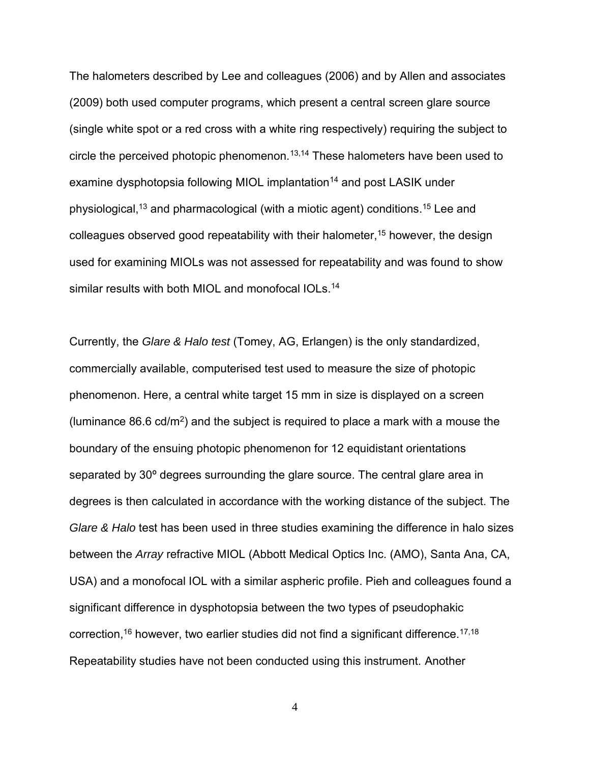The halometers described by Lee and colleagues (2006) and by Allen and associates (2009) both used computer programs, which present a central screen glare source (single white spot or a red cross with a white ring respectively) requiring the subject to circle the perceived photopic phenomenon.<sup>13,14</sup> These halometers have been used to examine dysphotopsia following MIOL implantation<sup>14</sup> and post LASIK under physiological,<sup>13</sup> and pharmacological (with a miotic agent) conditions.<sup>15</sup> Lee and colleagues observed good repeatability with their halometer,<sup>15</sup> however, the design used for examining MIOLs was not assessed for repeatability and was found to show similar results with both MIOL and monofocal IOLs.<sup>14</sup>

Currently, the *Glare & Halo test* (Tomey, AG, Erlangen) is the only standardized, commercially available, computerised test used to measure the size of photopic phenomenon. Here, a central white target 15 mm in size is displayed on a screen (luminance 86.6 cd/m<sup>2</sup>) and the subject is required to place a mark with a mouse the boundary of the ensuing photopic phenomenon for 12 equidistant orientations separated by 30º degrees surrounding the glare source. The central glare area in degrees is then calculated in accordance with the working distance of the subject. The *Glare & Halo* test has been used in three studies examining the difference in halo sizes between the *Array* refractive MIOL (Abbott Medical Optics Inc. (AMO), Santa Ana, CA, USA) and a monofocal IOL with a similar aspheric profile. Pieh and colleagues found a significant difference in dysphotopsia between the two types of pseudophakic correction,<sup>16</sup> however, two earlier studies did not find a significant difference.<sup>17,18</sup> Repeatability studies have not been conducted using this instrument. Another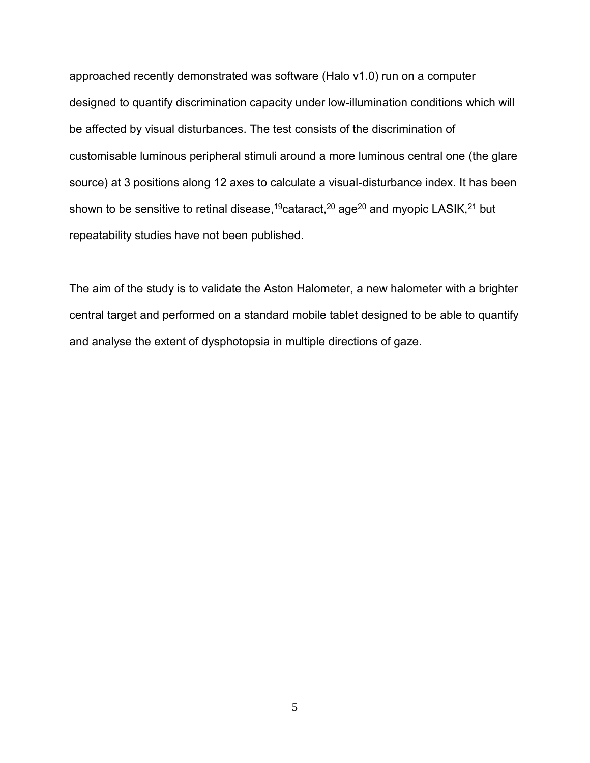approached recently demonstrated was software (Halo v1.0) run on a computer designed to quantify discrimination capacity under low-illumination conditions which will be affected by visual disturbances. The test consists of the discrimination of customisable luminous peripheral stimuli around a more luminous central one (the glare source) at 3 positions along 12 axes to calculate a visual-disturbance index. It has been shown to be sensitive to retinal disease,<sup>19</sup>cataract,<sup>20</sup> age<sup>20</sup> and myopic LASIK,<sup>21</sup> but repeatability studies have not been published.

The aim of the study is to validate the Aston Halometer, a new halometer with a brighter central target and performed on a standard mobile tablet designed to be able to quantify and analyse the extent of dysphotopsia in multiple directions of gaze.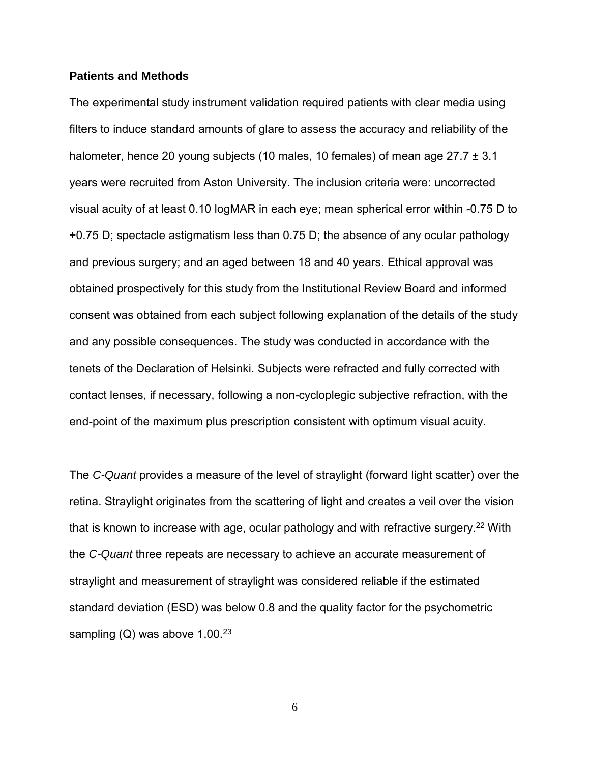### **Patients and Methods**

The experimental study instrument validation required patients with clear media using filters to induce standard amounts of glare to assess the accuracy and reliability of the halometer, hence 20 young subjects (10 males, 10 females) of mean age 27.7 ± 3.1 years were recruited from Aston University. The inclusion criteria were: uncorrected visual acuity of at least 0.10 logMAR in each eye; mean spherical error within -0.75 D to +0.75 D; spectacle astigmatism less than 0.75 D; the absence of any ocular pathology and previous surgery; and an aged between 18 and 40 years. Ethical approval was obtained prospectively for this study from the Institutional Review Board and informed consent was obtained from each subject following explanation of the details of the study and any possible consequences. The study was conducted in accordance with the tenets of the Declaration of Helsinki. Subjects were refracted and fully corrected with contact lenses, if necessary, following a non-cycloplegic subjective refraction, with the end-point of the maximum plus prescription consistent with optimum visual acuity.

The *C-Quant* provides a measure of the level of straylight (forward light scatter) over the retina. Straylight originates from the scattering of light and creates a veil over the vision that is known to increase with age, ocular pathology and with refractive surgery.<sup>22</sup> With the *C-Quant* three repeats are necessary to achieve an accurate measurement of straylight and measurement of straylight was considered reliable if the estimated standard deviation (ESD) was below 0.8 and the quality factor for the psychometric sampling (Q) was above  $1.00^{23}$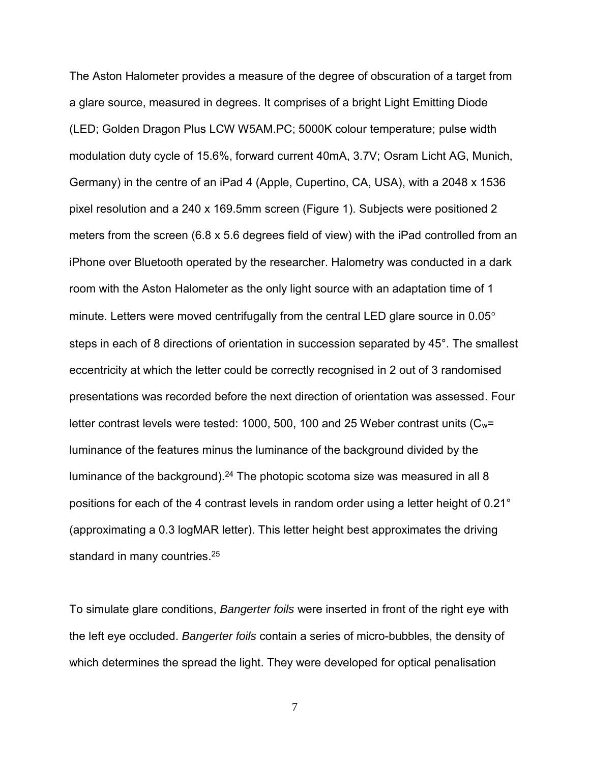The Aston Halometer provides a measure of the degree of obscuration of a target from a glare source, measured in degrees. It comprises of a bright Light Emitting Diode (LED; Golden Dragon Plus LCW W5AM.PC; 5000K colour temperature; pulse width modulation duty cycle of 15.6%, forward current 40mA, 3.7V; Osram Licht AG, Munich, Germany) in the centre of an iPad 4 (Apple, Cupertino, CA, USA), with a 2048 x 1536 pixel resolution and a 240 x 169.5mm screen (Figure 1). Subjects were positioned 2 meters from the screen (6.8 x 5.6 degrees field of view) with the iPad controlled from an iPhone over Bluetooth operated by the researcher. Halometry was conducted in a dark room with the Aston Halometer as the only light source with an adaptation time of 1 minute. Letters were moved centrifugally from the central LED glare source in 0.05° steps in each of 8 directions of orientation in succession separated by 45°. The smallest eccentricity at which the letter could be correctly recognised in 2 out of 3 randomised presentations was recorded before the next direction of orientation was assessed. Four letter contrast levels were tested: 1000, 500, 100 and 25 Weber contrast units  $(C_w=$ luminance of the features minus the luminance of the background divided by the luminance of the background).<sup>24</sup> The photopic scotoma size was measured in all 8 positions for each of the 4 contrast levels in random order using a letter height of 0.21° (approximating a 0.3 logMAR letter). This letter height best approximates the driving standard in many countries.<sup>25</sup>

To simulate glare conditions, *Bangerter foils* were inserted in front of the right eye with the left eye occluded. *Bangerter foils* contain a series of micro-bubbles, the density of which determines the spread the light. They were developed for optical penalisation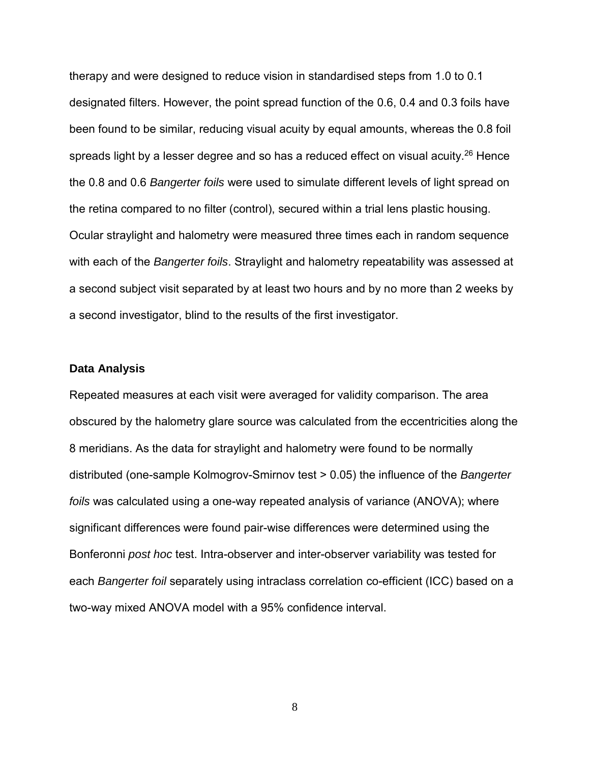therapy and were designed to reduce vision in standardised steps from 1.0 to 0.1 designated filters. However, the point spread function of the 0.6, 0.4 and 0.3 foils have been found to be similar, reducing visual acuity by equal amounts, whereas the 0.8 foil spreads light by a lesser degree and so has a reduced effect on visual acuity.<sup>26</sup> Hence the 0.8 and 0.6 *Bangerter foils* were used to simulate different levels of light spread on the retina compared to no filter (control), secured within a trial lens plastic housing. Ocular straylight and halometry were measured three times each in random sequence with each of the *Bangerter foils*. Straylight and halometry repeatability was assessed at a second subject visit separated by at least two hours and by no more than 2 weeks by a second investigator, blind to the results of the first investigator.

#### **Data Analysis**

Repeated measures at each visit were averaged for validity comparison. The area obscured by the halometry glare source was calculated from the eccentricities along the 8 meridians. As the data for straylight and halometry were found to be normally distributed (one-sample Kolmogrov-Smirnov test > 0.05) the influence of the *Bangerter foils* was calculated using a one-way repeated analysis of variance (ANOVA); where significant differences were found pair-wise differences were determined using the Bonferonni *post hoc* test. Intra-observer and inter-observer variability was tested for each *Bangerter foil* separately using intraclass correlation co-efficient (ICC) based on a two-way mixed ANOVA model with a 95% confidence interval.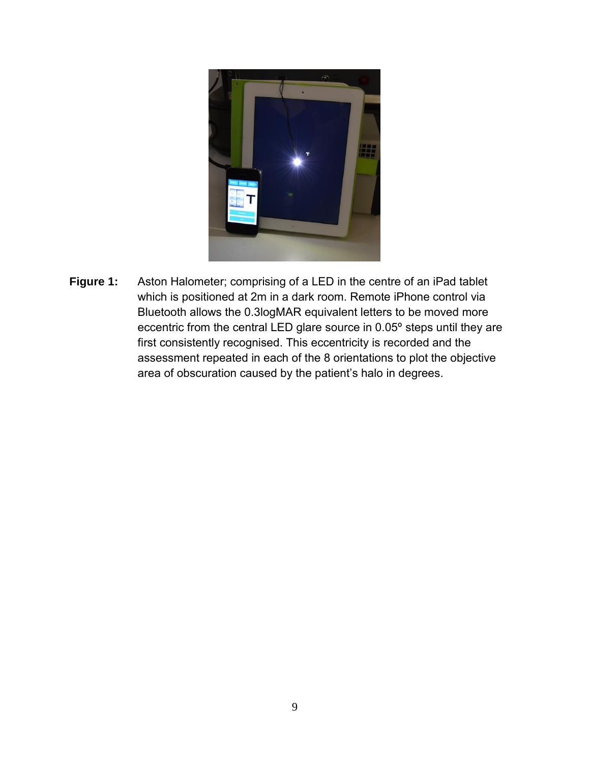

**Figure 1:** Aston Halometer; comprising of a LED in the centre of an iPad tablet which is positioned at 2m in a dark room. Remote iPhone control via Bluetooth allows the 0.3logMAR equivalent letters to be moved more eccentric from the central LED glare source in 0.05º steps until they are first consistently recognised. This eccentricity is recorded and the assessment repeated in each of the 8 orientations to plot the objective area of obscuration caused by the patient's halo in degrees.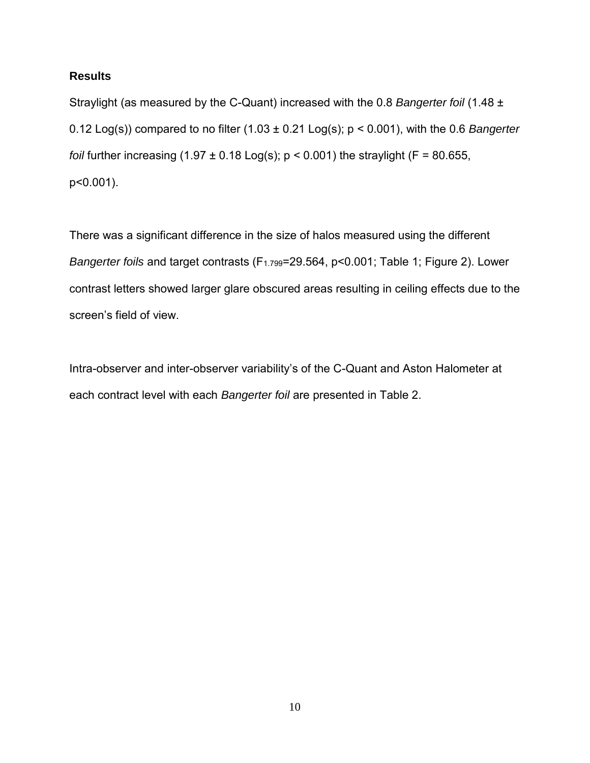## **Results**

Straylight (as measured by the C-Quant) increased with the 0.8 *Bangerter foil* (1.48 ± 0.12 Log(s)) compared to no filter (1.03 ± 0.21 Log(s); p < 0.001), with the 0.6 *Bangerter foil* further increasing  $(1.97 \pm 0.18 \text{ Log(s)}; p \le 0.001)$  the straylight  $(F = 80.655,$ p<0.001).

There was a significant difference in the size of halos measured using the different *Bangerter foils* and target contrasts (F1.799=29.564, p<0.001; Table 1; Figure 2). Lower contrast letters showed larger glare obscured areas resulting in ceiling effects due to the screen's field of view.

Intra-observer and inter-observer variability's of the C-Quant and Aston Halometer at each contract level with each *Bangerter foil* are presented in Table 2.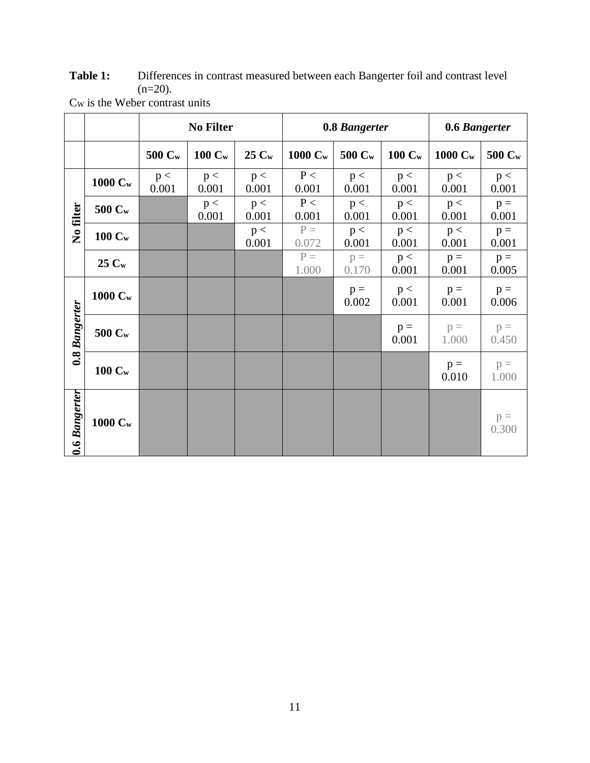Table 1: Differences in contrast measured between each Bangerter foil and contrast level  $(n=20)$ .

|                      |                    | <b>No Filter</b> |                    |              | 0.8 Bangerter  |                    |                | 0.6 Bangerter  |                |
|----------------------|--------------------|------------------|--------------------|--------------|----------------|--------------------|----------------|----------------|----------------|
|                      |                    | 500 Cw           | $100 \mathrm{C_w}$ | 25 Cw        | 1000 Cw        | 500 C <sub>w</sub> | $100 C_w$      | 1000 Cw        | 500 Cw         |
| No filter            | 1000 Cw            | p <<br>0.001     | p <<br>0.001       | p <<br>0.001 | P<<br>0.001    | p <<br>0.001       | p <<br>0.001   | p <<br>0.001   | p <<br>0.001   |
|                      | 500 Cw             |                  | p <<br>0.001       | p <<br>0.001 | P<<br>0.001    | p <<br>0.001       | p <<br>0.001   | p <<br>0.001   | $p =$<br>0.001 |
|                      | $100 \mathrm{C_w}$ |                  |                    | p <<br>0.001 | $P =$<br>0.072 | p <<br>0.001       | p <<br>0.001   | p <<br>0.001   | $p =$<br>0.001 |
|                      | $25C_w$            |                  |                    |              | $P =$<br>1.000 | $p =$<br>0.170     | p <<br>0.001   | $p =$<br>0.001 | $p =$<br>0.005 |
| 0.8 Bangerter        | 1000 Cw            |                  |                    |              |                | $p =$<br>0.002     | p <<br>0.001   | $p =$<br>0.001 | $p =$<br>0.006 |
|                      | $500\ C_{\rm w}$   |                  |                    |              |                |                    | $p =$<br>0.001 | $p =$<br>1.000 | $p =$<br>0.450 |
|                      | $100 C_w$          |                  |                    |              |                |                    |                | $p =$<br>0.010 | $p =$<br>1.000 |
| <b>0.6 Bangerter</b> | 1000 Cw            |                  |                    |              |                |                    |                |                | $p =$<br>0.300 |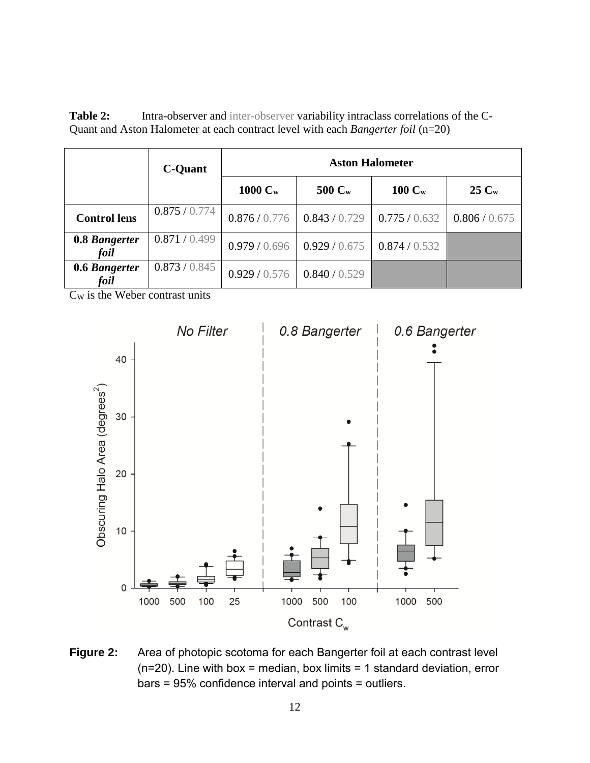| <b>Table 2:</b> | Intra-observer and inter-observer variability intraclass correlations of the C-             |  |
|-----------------|---------------------------------------------------------------------------------------------|--|
|                 | Quant and Aston Halometer at each contract level with each <i>Bangerter foil</i> ( $n=20$ ) |  |

|                       | <b>C-Quant</b> | <b>Aston Halometer</b> |                     |                   |               |  |  |  |
|-----------------------|----------------|------------------------|---------------------|-------------------|---------------|--|--|--|
|                       |                | $1000 \mathrm{C_w}$    | $500 \, \text{C}_w$ | $100 \text{ C}_w$ | $25C_w$       |  |  |  |
| <b>Control lens</b>   | 0.875/0.774    | 0.876 / 0.776          | 0.843/0.729         | 0.775/0.632       | 0.806 / 0.675 |  |  |  |
| 0.8 Bangerter<br>foil | 0.871/0.499    | 0.979/0.696            | 0.929/0.675         | 0.874/0.532       |               |  |  |  |
| 0.6 Bangerter<br>foil | 0.873/0.845    | 0.929/0.576            | 0.840 / 0.529       |                   |               |  |  |  |

C<sup>W</sup> is the Weber contrast units



**Figure 2:** Area of photopic scotoma for each Bangerter foil at each contrast level  $(n=20)$ . Line with box = median, box limits = 1 standard deviation, error bars = 95% confidence interval and points = outliers.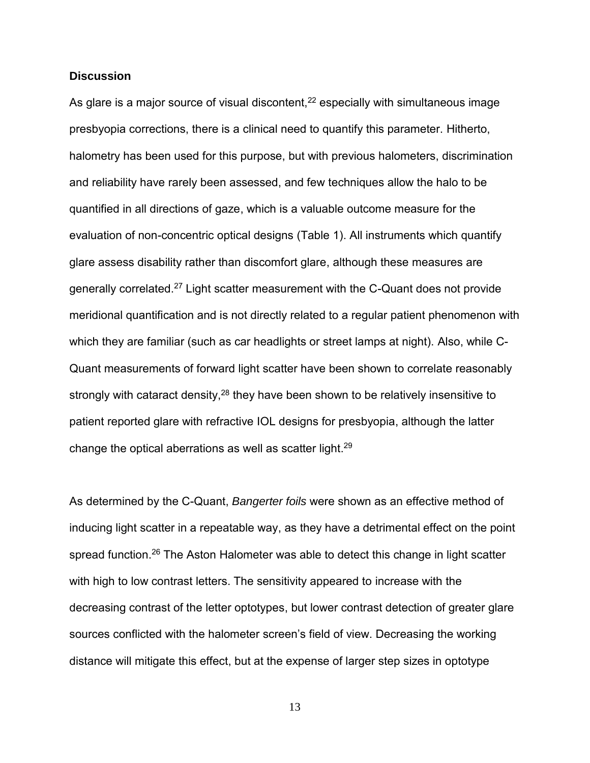### **Discussion**

As glare is a major source of visual discontent,<sup>22</sup> especially with simultaneous image presbyopia corrections, there is a clinical need to quantify this parameter. Hitherto, halometry has been used for this purpose, but with previous halometers, discrimination and reliability have rarely been assessed, and few techniques allow the halo to be quantified in all directions of gaze, which is a valuable outcome measure for the evaluation of non-concentric optical designs (Table 1). All instruments which quantify glare assess disability rather than discomfort glare, although these measures are generally correlated.<sup>27</sup> Light scatter measurement with the C-Quant does not provide meridional quantification and is not directly related to a regular patient phenomenon with which they are familiar (such as car headlights or street lamps at night). Also, while C-Quant measurements of forward light scatter have been shown to correlate reasonably strongly with cataract density,<sup>28</sup> they have been shown to be relatively insensitive to patient reported glare with refractive IOL designs for presbyopia, although the latter change the optical aberrations as well as scatter light.<sup>29</sup>

As determined by the C-Quant, *Bangerter foils* were shown as an effective method of inducing light scatter in a repeatable way, as they have a detrimental effect on the point spread function.<sup>26</sup> The Aston Halometer was able to detect this change in light scatter with high to low contrast letters. The sensitivity appeared to increase with the decreasing contrast of the letter optotypes, but lower contrast detection of greater glare sources conflicted with the halometer screen's field of view. Decreasing the working distance will mitigate this effect, but at the expense of larger step sizes in optotype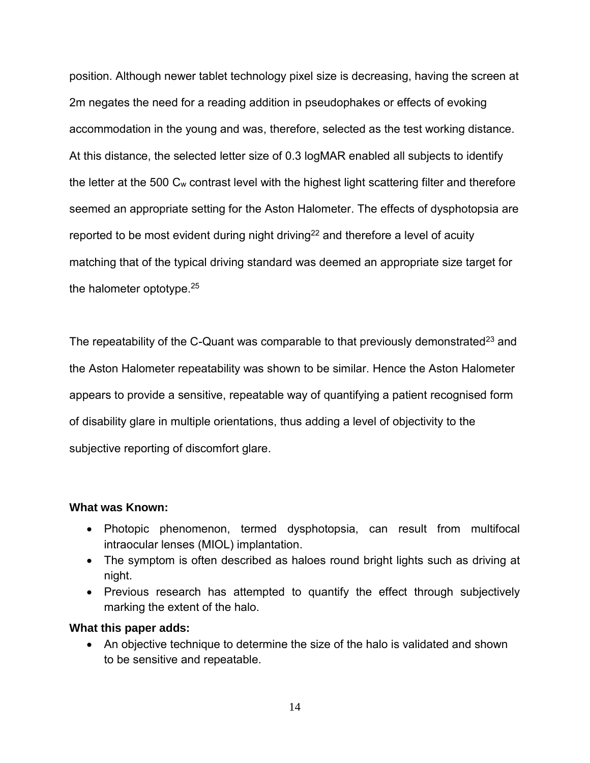position. Although newer tablet technology pixel size is decreasing, having the screen at 2m negates the need for a reading addition in pseudophakes or effects of evoking accommodation in the young and was, therefore, selected as the test working distance. At this distance, the selected letter size of 0.3 logMAR enabled all subjects to identify the letter at the 500 Cw contrast level with the highest light scattering filter and therefore seemed an appropriate setting for the Aston Halometer. The effects of dysphotopsia are reported to be most evident during night driving<sup>22</sup> and therefore a level of acuity matching that of the typical driving standard was deemed an appropriate size target for the halometer optotype.<sup>25</sup>

The repeatability of the C-Quant was comparable to that previously demonstrated<sup>23</sup> and the Aston Halometer repeatability was shown to be similar. Hence the Aston Halometer appears to provide a sensitive, repeatable way of quantifying a patient recognised form of disability glare in multiple orientations, thus adding a level of objectivity to the subjective reporting of discomfort glare.

### **What was Known:**

- Photopic phenomenon, termed dysphotopsia, can result from multifocal intraocular lenses (MIOL) implantation.
- The symptom is often described as haloes round bright lights such as driving at night.
- Previous research has attempted to quantify the effect through subjectively marking the extent of the halo.

### **What this paper adds:**

 An objective technique to determine the size of the halo is validated and shown to be sensitive and repeatable.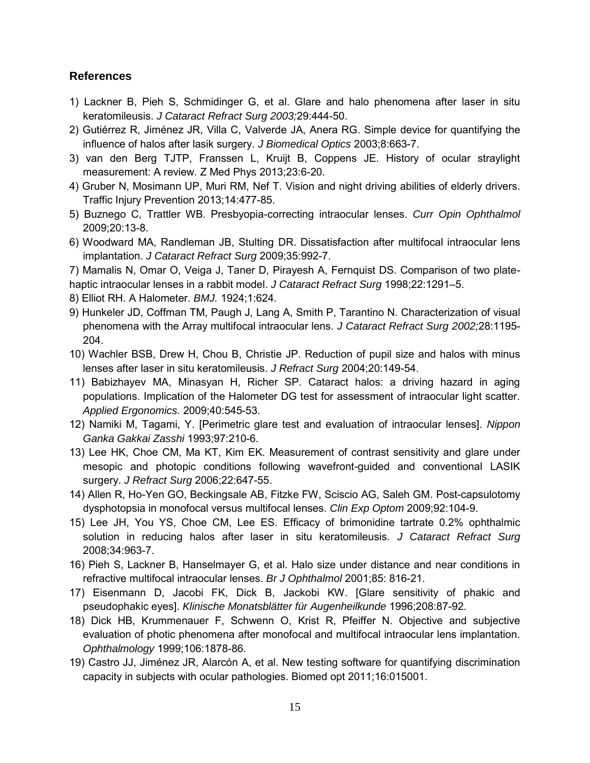### **References**

- 1) Lackner B, Pieh S, Schmidinger G, et al. Glare and halo phenomena after laser in situ keratomileusis. *J Cataract Refract Surg 2003;*29:444-50.
- 2) Gutiérrez R, Jiménez JR, Villa C, Valverde JA, Anera RG. Simple device for quantifying the influence of halos after lasik surgery. *J Biomedical Optics* 2003;8:663-7.
- 3) van den Berg TJTP, Franssen L, Kruijt B, Coppens JE. History of ocular straylight measurement: A review. Z Med Phys 2013;23:6-20.
- 4) Gruber N, Mosimann UP, Muri RM, Nef T. Vision and night driving abilities of elderly drivers. Traffic Injury Prevention 2013;14:477-85.
- 5) Buznego C, Trattler WB. Presbyopia-correcting intraocular lenses. *Curr Opin Ophthalmol* 2009;20:13-8.
- 6) Woodward MA, Randleman JB, Stulting DR. Dissatisfaction after multifocal intraocular lens implantation. *J Cataract Refract Surg* 2009;35:992-7.

7) Mamalis N, Omar O, Veiga J, Taner D, Pirayesh A, Fernquist DS. Comparison of two plate-

haptic intraocular lenses in a rabbit model. *J Cataract Refract Surg* 1998;22:1291–5.

- 8) Elliot RH. A Halometer. *BMJ.* 1924;1:624.
- 9) Hunkeler JD, Coffman TM, Paugh J, Lang A, Smith P, Tarantino N. Characterization of visual phenomena with the Array multifocal intraocular lens. *J Cataract Refract Surg 2002;*28:1195- 204.
- 10) Wachler BSB, Drew H, Chou B, Christie JP. Reduction of pupil size and halos with minus lenses after laser in situ keratomileusis. *J Refract Surg* 2004;20:149-54.
- 11) Babizhayev MA, Minasyan H, Richer SP. Cataract halos: a driving hazard in aging populations. Implication of the Halometer DG test for assessment of intraocular light scatter. *Applied Ergonomics.* 2009;40:545-53.
- 12) Namiki M, Tagami, Y. [Perimetric glare test and evaluation of intraocular lenses]. *Nippon Ganka Gakkai Zasshi* 1993;97:210-6.
- 13) Lee HK, Choe CM, Ma KT, Kim EK. Measurement of contrast sensitivity and glare under mesopic and photopic conditions following wavefront-guided and conventional LASIK surgery. *J Refract Surg* 2006;22:647-55.
- 14) Allen R, Ho-Yen GO, Beckingsale AB, Fitzke FW, Sciscio AG, Saleh GM. Post-capsulotomy dysphotopsia in monofocal versus multifocal lenses. *Clin Exp Optom* 2009;92:104-9.
- 15) Lee JH, You YS, Choe CM, Lee ES. Efficacy of brimonidine tartrate 0.2% ophthalmic solution in reducing halos after laser in situ keratomileusis. *J Cataract Refract Surg* 2008;34:963-7.
- 16) Pieh S, Lackner B, Hanselmayer G, et al. Halo size under distance and near conditions in refractive multifocal intraocular lenses. *Br J Ophthalmol* 2001;85: 816-21.
- 17) Eisenmann D, Jacobi FK, Dick B, Jackobi KW. [Glare sensitivity of phakic and pseudophakic eyes]. *Klinische Monatsblätter für Augenheilkunde* 1996;208:87-92.
- 18) Dick HB, Krummenauer F, Schwenn O, Krist R, Pfeiffer N. Objective and subjective evaluation of photic phenomena after monofocal and multifocal intraocular lens implantation. *Ophthalmology* 1999;106:1878-86.
- 19) Castro JJ, Jiménez JR, Alarcón A, et al. New testing software for quantifying discrimination capacity in subjects with ocular pathologies. Biomed opt 2011;16:015001.